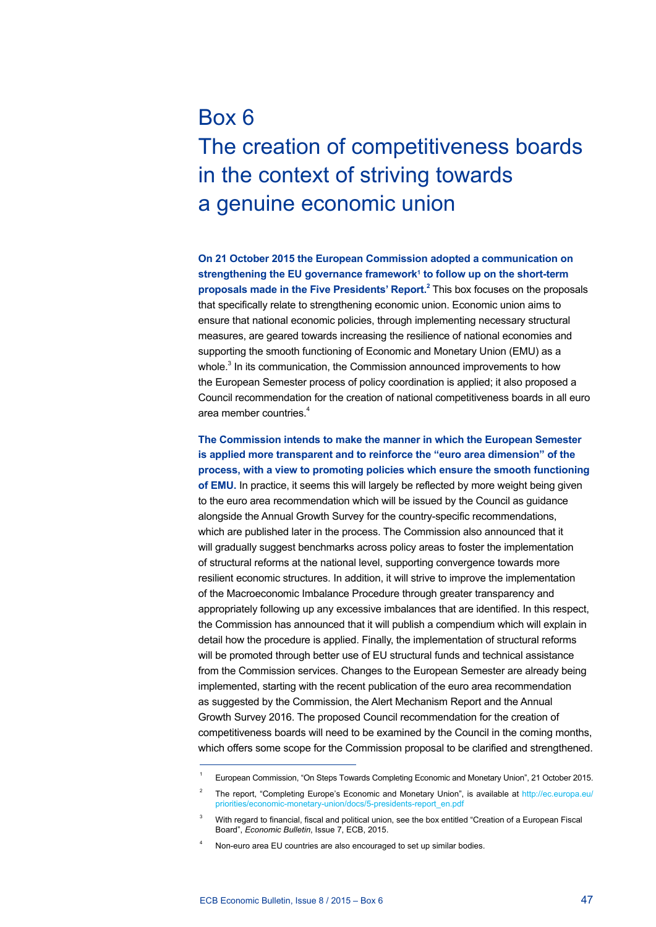## Box 6 The creation of competitiveness boards in the context of striving towards a genuine economic union

**On 21 October 2015 the European Commission adopted a communication on**  strengthening the EU governance framework<sup>1</sup> to follow up on the short-term proposals made in the Five Presidents' Report.<sup>2</sup> This box focuses on the proposals that specifically relate to strengthening economic union. Economic union aims to ensure that national economic policies, through implementing necessary structural measures, are geared towards increasing the resilience of national economies and supporting the smooth functioning of Economic and Monetary Union (EMU) as a whole.<sup>3</sup> In its communication, the Commission announced improvements to how the European Semester process of policy coordination is applied; it also proposed a Council recommendation for the creation of national competitiveness boards in all euro area member countries.<sup>4</sup>

**The Commission intends to make the manner in which the European Semester is applied more transparent and to reinforce the "euro area dimension" of the process, with a view to promoting policies which ensure the smooth functioning of EMU.** In practice, it seems this will largely be reflected by more weight being given to the euro area recommendation which will be issued by the Council as guidance alongside the Annual Growth Survey for the country-specific recommendations, which are published later in the process. The Commission also announced that it will gradually suggest benchmarks across policy areas to foster the implementation of structural reforms at the national level, supporting convergence towards more resilient economic structures. In addition, it will strive to improve the implementation of the Macroeconomic Imbalance Procedure through greater transparency and appropriately following up any excessive imbalances that are identified. In this respect, the Commission has announced that it will publish a compendium which will explain in detail how the procedure is applied. Finally, the implementation of structural reforms will be promoted through better use of EU structural funds and technical assistance from the Commission services. Changes to the European Semester are already being implemented, starting with the recent publication of the euro area recommendation as suggested by the Commission, the Alert Mechanism Report and the Annual Growth Survey 2016. The proposed Council recommendation for the creation of competitiveness boards will need to be examined by the Council in the coming months, which offers some scope for the Commission proposal to be clarified and strengthened.

<sup>1</sup> European Commission, "On Steps Towards Completing Economic and Monetary Union", 21 October 2015.

The report, "Completing Europe's Economic and Monetary Union", is available at [http://ec.europa.eu/](http://ec.europa.eu/priorities/economic-monetary-union/docs/5-presidents-report_en.pdf) [priorities/economic-monetary-union/docs/5-presidents-report\\_en.pdf](http://ec.europa.eu/priorities/economic-monetary-union/docs/5-presidents-report_en.pdf)

<sup>3</sup> With regard to financial, fiscal and political union, see the box entitled "Creation of a European Fiscal Board", *Economic Bulletin*, Issue 7, ECB, 2015.

Non-euro area EU countries are also encouraged to set up similar bodies.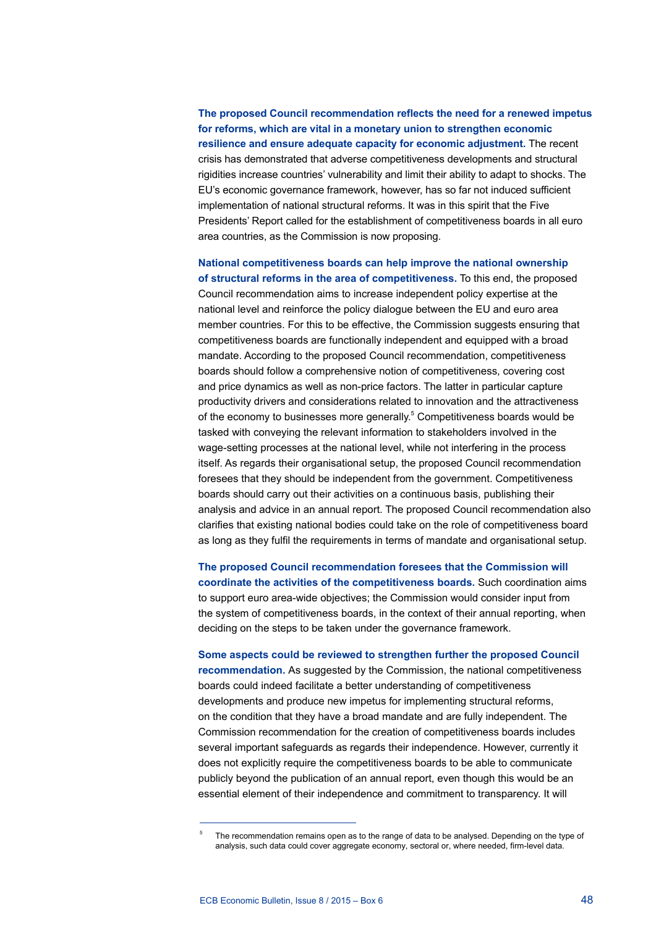**The proposed Council recommendation reflects the need for a renewed impetus for reforms, which are vital in a monetary union to strengthen economic resilience and ensure adequate capacity for economic adjustment.** The recent crisis has demonstrated that adverse competitiveness developments and structural rigidities increase countries' vulnerability and limit their ability to adapt to shocks. The EU's economic governance framework, however, has so far not induced sufficient implementation of national structural reforms. It was in this spirit that the Five Presidents' Report called for the establishment of competitiveness boards in all euro area countries, as the Commission is now proposing.

**National competitiveness boards can help improve the national ownership of structural reforms in the area of competitiveness.** To this end, the proposed Council recommendation aims to increase independent policy expertise at the national level and reinforce the policy dialogue between the EU and euro area member countries. For this to be effective, the Commission suggests ensuring that competitiveness boards are functionally independent and equipped with a broad mandate. According to the proposed Council recommendation, competitiveness boards should follow a comprehensive notion of competitiveness, covering cost and price dynamics as well as non-price factors. The latter in particular capture productivity drivers and considerations related to innovation and the attractiveness of the economy to businesses more generally.<sup>5</sup> Competitiveness boards would be tasked with conveying the relevant information to stakeholders involved in the wage-setting processes at the national level, while not interfering in the process itself. As regards their organisational setup, the proposed Council recommendation foresees that they should be independent from the government. Competitiveness boards should carry out their activities on a continuous basis, publishing their analysis and advice in an annual report. The proposed Council recommendation also clarifies that existing national bodies could take on the role of competitiveness board as long as they fulfil the requirements in terms of mandate and organisational setup.

**The proposed Council recommendation foresees that the Commission will coordinate the activities of the competitiveness boards.** Such coordination aims to support euro area-wide objectives; the Commission would consider input from the system of competitiveness boards, in the context of their annual reporting, when deciding on the steps to be taken under the governance framework.

**Some aspects could be reviewed to strengthen further the proposed Council recommendation.** As suggested by the Commission, the national competitiveness boards could indeed facilitate a better understanding of competitiveness developments and produce new impetus for implementing structural reforms, on the condition that they have a broad mandate and are fully independent. The Commission recommendation for the creation of competitiveness boards includes several important safeguards as regards their independence. However, currently it does not explicitly require the competitiveness boards to be able to communicate publicly beyond the publication of an annual report, even though this would be an essential element of their independence and commitment to transparency. It will

<sup>5</sup> The recommendation remains open as to the range of data to be analysed. Depending on the type of analysis, such data could cover aggregate economy, sectoral or, where needed, firm-level data.